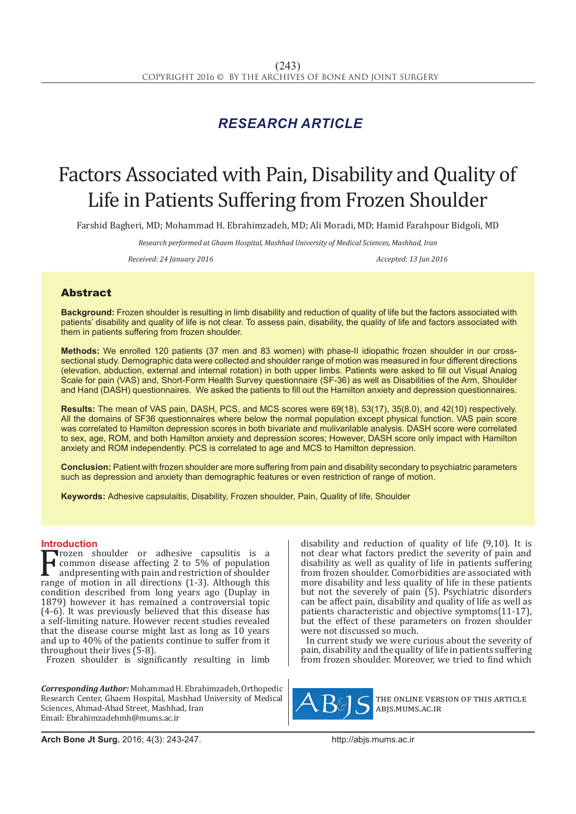# *RESEARCH ARTICLE*

# Factors Associated with Pain, Disability and Quality of Life in Patients Suffering from Frozen Shoulder

Farshid Bagheri, MD; Mohammad H. Ebrahimzadeh, MD; Ali Moradi, MD; Hamid Farahpour Bidgoli, MD

*Research performed at Ghaem Hospital, Mashhad University of Medical Sciences, Mashhad, Iran*

*Received: 24 January 2016 Accepted: 13 Jun 2016*

## Abstract

**Background:** Frozen shoulder is resulting in limb disability and reduction of quality of life but the factors associated with patients' disability and quality of life is not clear. To assess pain, disability, the quality of life and factors associated with them in patients suffering from frozen shoulder.

**Methods:** We enrolled 120 patients (37 men and 83 women) with phase-II idiopathic frozen shoulder in our crosssectional study. Demographic data were collected and shoulder range of motion was measured in four different directions (elevation, abduction, external and internal rotation) in both upper limbs. Patients were asked to fill out Visual Analog Scale for pain (VAS) and, Short-Form Health Survey questionnaire (SF-36) as well as Disabilities of the Arm, Shoulder and Hand (DASH) questionnaires. We asked the patients to fill out the Hamilton anxiety and depression questionnaires.

**Results:** The mean of VAS pain, DASH, PCS, and MCS scores were 69(18), 53(17), 35(8.0), and 42(10) respectively. All the domains of SF36 questionnaires where below the normal population except physical function. VAS pain score was correlated to Hamilton depression scores in both bivariate and mulivarilable analysis. DASH score were correlated to sex, age, ROM, and both Hamilton anxiety and depression scores; However, DASH score only impact with Hamilton anxiety and ROM independently. PCS is correlated to age and MCS to Hamilton depression.

**Conclusion:** Patient with frozen shoulder are more suffering from pain and disability secondary to psychiatric parameters such as depression and anxiety than demographic features or even restriction of range of motion.

**Keywords:** Adhesive capsulaitis, Disability, Frozen shoulder, Pain, Quality of life, Shoulder

### **Introduction**

Frozen shoulder or adhesive capsulitis is a<br>discussion and in a search of shoulder<br>range of motion in all directions (1-3). Although this<br>condition described from long vears and Quullay in common disease affecting 2 to 5% of population andpresenting with pain and restriction of shoulder range of motion in all directions (1-3). Although this condition described from long years ago (Duplay in 1879) however it has remained a controversial topic (4-6). It was previously believed that this disease has a self-limiting nature. However recent studies revealed that the disease course might last as long as 10 years and up to 40% of the patients continue to suffer from it throughout their lives (5-8).

Frozen shoulder is significantly resulting in limb

*Corresponding Author:* Mohammad H. Ebrahimzadeh, Orthopedic Research Center, Ghaem Hospital, Mashhad University of Medical Sciences, Ahmad-Abad Street, Mashhad, Iran Email: Ebrahimzadehmh@mums.ac.ir

disability and reduction of quality of life (9,10). It is not clear what factors predict the severity of pain and disability as well as quality of life in patients suffering from frozen shoulder. Comorbidities are associated with more disability and less quality of life in these patients but not the severely of pain (5). Psychiatric disorders can be affect pain, disability and quality of life as well as patients characteristic and objective symptoms(11-17), but the effect of these parameters on frozen shoulder were not discussed so much.

In current study we were curious about the severity of pain, disability and the quality of life in patients suffering from frozen shoulder. Moreover, we tried to find which



the online version of this article abjs.mums.ac.ir

**Arch Bone Jt Surg.** 2016; 4(3): 243-247.http://abjs.mums.ac.ir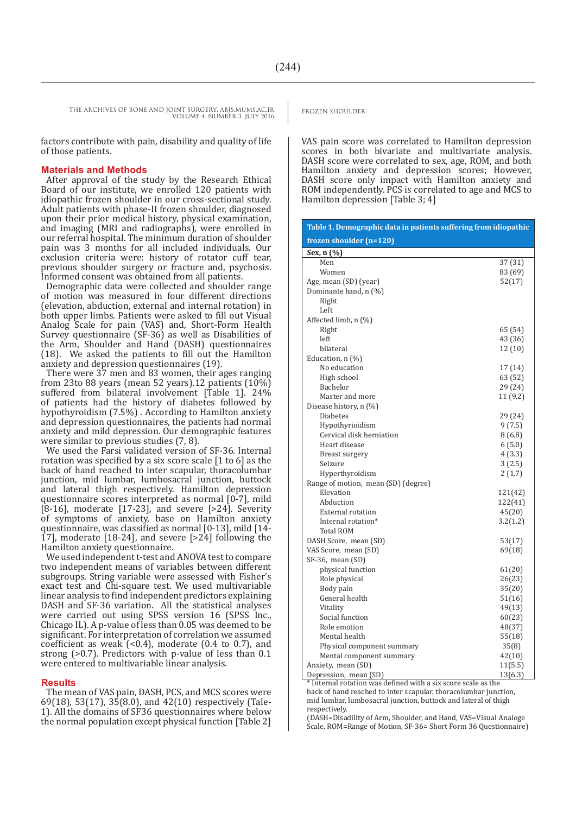factors contribute with pain, disability and quality of life of those patients.

#### **Materials and Methods**

After approval of the study by the Research Ethical Board of our institute, we enrolled 120 patients with idiopathic frozen shoulder in our cross-sectional study. Adult patients with phase-II frozen shoulder, diagnosed upon their prior medical history, physical examination, and imaging (MRI and radiographs), were enrolled in our referral hospital. The minimum duration of shoulder pain was 3 months for all included individuals. Our exclusion criteria were: history of rotator cuff tear, previous shoulder surgery or fracture and, psychosis. Informed consent was obtained from all patients.

Demographic data were collected and shoulder range of motion was measured in four different directions (elevation, abduction, external and internal rotation) in both upper limbs. Patients were asked to fill out Visual Analog Scale for pain (VAS) and, Short-Form Health Survey questionnaire (SF-36) as well as Disabilities of the Arm, Shoulder and Hand (DASH) questionnaires (18). We asked the patients to fill out the Hamilton anxiety and depression questionnaires (19).

There were 37 men and 83 women, their ages ranging from 23to 88 years (mean 52 years).12 patients (10%) suffered from bilateral involvement [Table 1]. 24% of patients had the history of diabetes followed by hypothyroidism (7.5%) . According to Hamilton anxiety and depression questionnaires, the patients had normal anxiety and mild depression. Our demographic features were similar to previous studies (7, 8).

We used the Farsi validated version of SF-36. Internal rotation was specified by a six score scale [1 to 6] as the back of hand reached to inter scapular, thoracolumbar junction, mid lumbar, lumbosacral junction, buttock and lateral thigh respectively. Hamilton depression questionnaire scores interpreted as normal [0-7], mild [8-16], moderate [17-23], and severe [>24]. Severity of symptoms of anxiety, base on Hamilton anxiety questionnaire, was classified as normal [0-13], mild [14- 17], moderate  $[18-24]$ , and severe  $[>24]$  following the Hamilton anxiety questionnaire.

We used independent t-test and ANOVA test to compare two independent means of variables between different subgroups. String variable were assessed with Fisher's exact test and Chi-square test. We used multivariable linear analysis to find independent predictors explaining DASH and SF-36 variation. All the statistical analyses were carried out using SPSS version 16 (SPSS Inc., Chicago IL). A p-value of less than 0.05 was deemed to be significant. For interpretation of correlation we assumed coefficient as weak  $(0.4)$ , moderate  $(0.4 \text{ to } 0.7)$ , and strong (>0.7). Predictors with p-value of less than 0.1 were entered to multivariable linear analysis.

#### **Results**

The mean of VAS pain, DASH, PCS, and MCS scores were 69(18), 53(17),  $3\overline{5}$ (8.0), and 42(10) respectively (Tale-1). All the domains of SF36 questionnaires where below the normal population except physical function [Table 2]

VAS pain score was correlated to Hamilton depression scores in both bivariate and multivariate analysis. DASH score were correlated to sex, age, ROM, and both Hamilton anxiety and depression scores; However, DASH score only impact with Hamilton anxiety and ROM independently. PCS is correlated to age and MCS to Hamilton depression [Table 3; 4]

| Table 1. Demographic data in patients suffering from idiopathic |          |  |  |  |  |  |
|-----------------------------------------------------------------|----------|--|--|--|--|--|
| frozen shoulder (n=120)                                         |          |  |  |  |  |  |
| Sex, n (%)                                                      |          |  |  |  |  |  |
| Men                                                             | 37 (31)  |  |  |  |  |  |
| Women                                                           | 83 (69)  |  |  |  |  |  |
| Age, mean (SD) (year)                                           | 52(17)   |  |  |  |  |  |
| Dominante hand, n (%)                                           |          |  |  |  |  |  |
| Right                                                           |          |  |  |  |  |  |
| Left                                                            |          |  |  |  |  |  |
| Affected limb, n (%)                                            |          |  |  |  |  |  |
| Right                                                           | 65 (54)  |  |  |  |  |  |
| left                                                            | 43 (36)  |  |  |  |  |  |
| bilateral                                                       | 12(10)   |  |  |  |  |  |
| Education, n (%)                                                |          |  |  |  |  |  |
| No education                                                    | 17 (14)  |  |  |  |  |  |
| High school<br>Bachelor                                         | 63 (52)  |  |  |  |  |  |
| Master and more                                                 | 29 (24)  |  |  |  |  |  |
| Disease history, n (%)                                          | 11(9.2)  |  |  |  |  |  |
| <b>Diabetes</b>                                                 | 29 (24)  |  |  |  |  |  |
| Hypothyrioidism                                                 | 9(7.5)   |  |  |  |  |  |
| Cervical disk herniation                                        | 8(6.8)   |  |  |  |  |  |
| Heart disease                                                   | 6(5.0)   |  |  |  |  |  |
| Breast surgery                                                  | 4(3.3)   |  |  |  |  |  |
| Seizure                                                         | 3(2.5)   |  |  |  |  |  |
| Hyperthyroidism                                                 | 2(1.7)   |  |  |  |  |  |
| Range of motion, mean (SD) (degree)                             |          |  |  |  |  |  |
| Elevation                                                       | 121(42)  |  |  |  |  |  |
| Abduction                                                       | 122(41)  |  |  |  |  |  |
| <b>External rotation</b>                                        | 45(20)   |  |  |  |  |  |
| Internal rotation*                                              | 3.2(1.2) |  |  |  |  |  |
| <b>Total ROM</b>                                                |          |  |  |  |  |  |
| DASH Score, mean (SD)                                           | 53(17)   |  |  |  |  |  |
| VAS Score, mean (SD)                                            | 69(18)   |  |  |  |  |  |
| SF-36, mean (SD)                                                |          |  |  |  |  |  |
| physical function                                               | 61(20)   |  |  |  |  |  |
| Role physical                                                   | 26(23)   |  |  |  |  |  |
| Body pain                                                       | 35(20)   |  |  |  |  |  |
| General health                                                  | 51(16)   |  |  |  |  |  |
| Vitality                                                        | 49(13)   |  |  |  |  |  |
| Social function                                                 | 60(23)   |  |  |  |  |  |
| Role emotion                                                    | 48(37)   |  |  |  |  |  |
| Mental health                                                   | 55(18)   |  |  |  |  |  |
| Physical component summary                                      | 35(8)    |  |  |  |  |  |
| Mental component summary                                        | 42(10)   |  |  |  |  |  |
| Anxiety, mean (SD)                                              | 11(5.5)  |  |  |  |  |  |
| Depression, mean (SD)                                           | 13(6.3)  |  |  |  |  |  |

\* Internal rotation was defined with a six score scale as the back of hand reached to inter scapular, thoracolumbar junction, mid lumbar, lumbosacral junction, buttock and lateral of thigh respectively

(DASH=Disadility of Arm, Shoulder, and Hand, VAS=Visual Analoge Scale, ROM=Range of Motion, SF-36= Short Form 36 Questionnaire)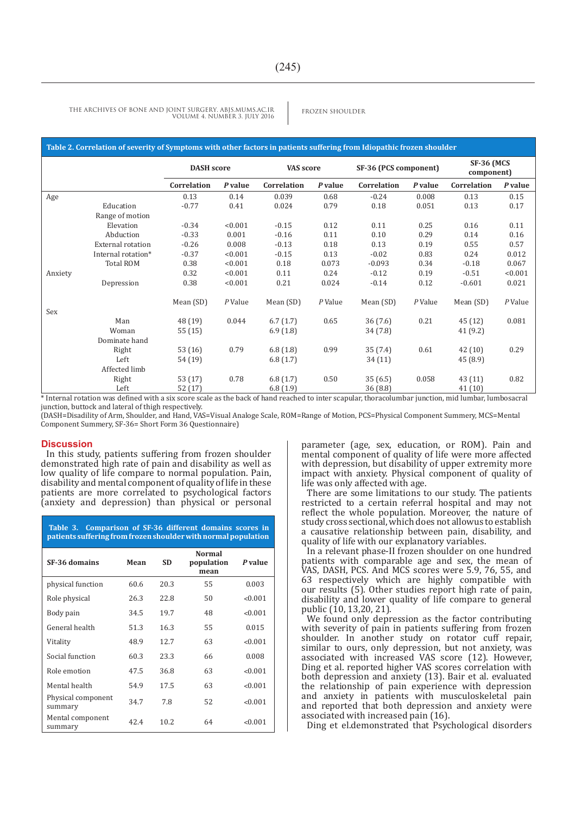#### **Table 2. Correlation of severity of Symptoms with other factors in patients suffering from Idiopathic frozen shoulder**

|         |                          | <b>DASH</b> score |         | VAS score   |         | SF-36 (PCS component) |         | <b>SF-36 (MCS</b><br>component) |         |
|---------|--------------------------|-------------------|---------|-------------|---------|-----------------------|---------|---------------------------------|---------|
|         |                          | Correlation       | P value | Correlation | P value | Correlation           | P value | Correlation                     | P value |
| Age     |                          | 0.13              | 0.14    | 0.039       | 0.68    | $-0.24$               | 0.008   | 0.13                            | 0.15    |
|         | Education                | $-0.77$           | 0.41    | 0.024       | 0.79    | 0.18                  | 0.051   | 0.13                            | 0.17    |
|         | Range of motion          |                   |         |             |         |                       |         |                                 |         |
|         | Elevation                | $-0.34$           | < 0.001 | $-0.15$     | 0.12    | 0.11                  | 0.25    | 0.16                            | 0.11    |
|         | Abduction                | $-0.33$           | 0.001   | $-0.16$     | 0.11    | 0.10                  | 0.29    | 0.14                            | 0.16    |
|         | <b>External rotation</b> | $-0.26$           | 0.008   | $-0.13$     | 0.18    | 0.13                  | 0.19    | 0.55                            | 0.57    |
|         | Internal rotation*       | $-0.37$           | < 0.001 | $-0.15$     | 0.13    | $-0.02$               | 0.83    | 0.24                            | 0.012   |
|         | <b>Total ROM</b>         | 0.38              | < 0.001 | 0.18        | 0.073   | $-0.093$              | 0.34    | $-0.18$                         | 0.067   |
| Anxiety |                          | 0.32              | < 0.001 | 0.11        | 0.24    | $-0.12$               | 0.19    | $-0.51$                         | < 0.001 |
|         | Depression               | 0.38              | < 0.001 | 0.21        | 0.024   | $-0.14$               | 0.12    | $-0.601$                        | 0.021   |
|         |                          | Mean (SD)         | P Value | Mean (SD)   | P Value | Mean (SD)             | P Value | Mean (SD)                       | P Value |
| Sex     |                          |                   |         |             |         |                       |         |                                 |         |
|         | Man                      | 48 (19)           | 0.044   | 6.7(1.7)    | 0.65    | 36(7.6)               | 0.21    | 45 (12)                         | 0.081   |
|         | Woman                    | 55 (15)           |         | 6.9(1.8)    |         | 34(7.8)               |         | 41 (9.2)                        |         |
|         | Dominate hand            |                   |         |             |         |                       |         |                                 |         |
|         | Right                    | 53(16)            | 0.79    | 6.8(1.8)    | 0.99    | 35(7.4)               | 0.61    | 42(10)                          | 0.29    |
|         | Left                     | 54 (19)           |         | 6.8(1.7)    |         | 34 (11)               |         | 45 (8.9)                        |         |
|         | Affected limb            |                   |         |             |         |                       |         |                                 |         |
|         | Right                    | 53 (17)           | 0.78    | 6.8(1.7)    | 0.50    | 35(6.5)               | 0.058   | 43 (11)                         | 0.82    |
|         | Left                     | 52(17)            |         | 6.8(1.9)    |         | 36(8.8)               |         | 41(10)                          |         |

\* Internal rotation was defined with a six score scale as the back of hand reached to inter scapular, thoracolumbar junction, mid lumbar, lumbosacral junction, buttock and lateral of thigh respectively.

(DASH=Disadility of Arm, Shoulder, and Hand, VAS=Visual Analoge Scale, ROM=Range of Motion, PCS=Physical Component Summery, MCS=Mental Component Summery, SF-36= Short Form 36 Questionnaire)

#### **Discussion**

In this study, patients suffering from frozen shoulder demonstrated high rate of pain and disability as well as low quality of life compare to normal population. Pain, disability and mental component of quality of life in these patients are more correlated to psychological factors (anxiety and depression) than physical or personal

| Table 3. Comparison of SF-36 different domains scores in<br>patients suffering from frozen shoulder with normal population |      |           |                                     |         |  |  |
|----------------------------------------------------------------------------------------------------------------------------|------|-----------|-------------------------------------|---------|--|--|
| SF-36 domains                                                                                                              | Mean | <b>SD</b> | <b>Normal</b><br>population<br>mean | P value |  |  |
| physical function                                                                                                          | 60.6 | 20.3      | 55                                  | 0.003   |  |  |
| Role physical                                                                                                              | 26.3 | 22.8      | 50                                  | < 0.001 |  |  |
| Body pain                                                                                                                  | 34.5 | 19.7      | 48                                  | < 0.001 |  |  |
| General health                                                                                                             | 51.3 | 16.3      | 55                                  | 0.015   |  |  |
| Vitality                                                                                                                   | 48.9 | 12.7      | 63                                  | < 0.001 |  |  |
| Social function                                                                                                            | 60.3 | 23.3      | 66                                  | 0.008   |  |  |
| Role emotion                                                                                                               | 47.5 | 36.8      | 63                                  | < 0.001 |  |  |
| Mental health                                                                                                              | 54.9 | 17.5      | 63                                  | < 0.001 |  |  |
| Physical component<br>summary                                                                                              | 34.7 | 7.8       | 52                                  | < 0.001 |  |  |
| Mental component<br>summary                                                                                                | 42.4 | 10.2      | 64                                  | < 0.001 |  |  |

parameter (age, sex, education, or ROM). Pain and mental component of quality of life were more affected with depression, but disability of upper extremity more impact with anxiety. Physical component of quality of life was only affected with age.

There are some limitations to our study. The patients restricted to a certain referral hospital and may not reflect the whole population. Moreover, the nature of study cross sectional, which does not allowus to establish a causative relationship between pain, disability, and quality of life with our explanatory variables.

In a relevant phase-II frozen shoulder on one hundred patients with comparable age and sex, the mean of VAS, DASH, PCS. And MCS scores were 5.9, 76, 55, and 63 respectively which are highly compatible with our results (5). Other studies report high rate of pain, disability and lower quality of life compare to general public (10, 13,20, 21).

We found only depression as the factor contributing with severity of pain in patients suffering from frozen shoulder. In another study on rotator cuff repair, similar to ours, only depression, but not anxiety, was associated with increased VAS score (12). However, Ding et al. reported higher VAS scores correlation with both depression and anxiety (13). Bair et al. evaluated the relationship of pain experience with depression and anxiety in patients with musculoskeletal pain and reported that both depression and anxiety were associated with increased pain (16).

Ding et el.demonstrated that Psychological disorders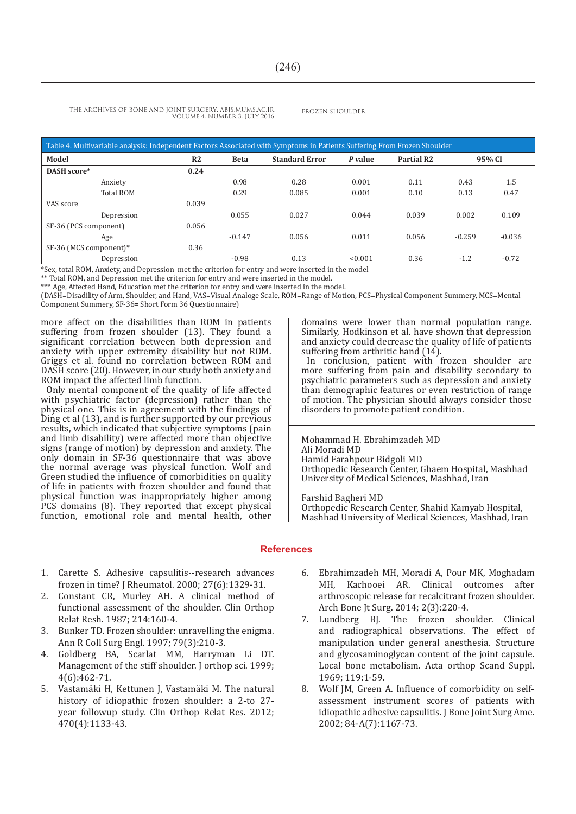| Table 4. Multivariable analysis: Independent Factors Associated with Symptoms in Patients Suffering From Frozen Shoulder |                |             |                       |         |                   |          |          |  |  |
|--------------------------------------------------------------------------------------------------------------------------|----------------|-------------|-----------------------|---------|-------------------|----------|----------|--|--|
| Model                                                                                                                    | R <sub>2</sub> | <b>Beta</b> | <b>Standard Error</b> | P value | <b>Partial R2</b> | 95% CI   |          |  |  |
| DASH score*                                                                                                              | 0.24           |             |                       |         |                   |          |          |  |  |
| Anxiety                                                                                                                  |                | 0.98        | 0.28                  | 0.001   | 0.11              | 0.43     | 1.5      |  |  |
| <b>Total ROM</b>                                                                                                         |                | 0.29        | 0.085                 | 0.001   | 0.10              | 0.13     | 0.47     |  |  |
| VAS score                                                                                                                | 0.039          |             |                       |         |                   |          |          |  |  |
| Depression                                                                                                               |                | 0.055       | 0.027                 | 0.044   | 0.039             | 0.002    | 0.109    |  |  |
| SF-36 (PCS component)                                                                                                    | 0.056          |             |                       |         |                   |          |          |  |  |
| Age                                                                                                                      |                | $-0.147$    | 0.056                 | 0.011   | 0.056             | $-0.259$ | $-0.036$ |  |  |
| SF-36 (MCS component)*                                                                                                   | 0.36           |             |                       |         |                   |          |          |  |  |
| Depression                                                                                                               |                | $-0.98$     | 0.13                  | < 0.001 | 0.36              | $-1.2$   | $-0.72$  |  |  |

\*Sex, total ROM, Anxiety, and Depression met the criterion for entry and were inserted in the model

\*\* Total ROM, and Depression met the criterion for entry and were inserted in the model.

\*\*\* Age, Affected Hand, Education met the criterion for entry and were inserted in the model.

(DASH=Disadility of Arm, Shoulder, and Hand, VAS=Visual Analoge Scale, ROM=Range of Motion, PCS=Physical Component Summery, MCS=Mental Component Summery, SF-36= Short Form 36 Questionnaire)

more affect on the disabilities than ROM in patients suffering from frozen shoulder (13). They found a significant correlation between both depression and anxiety with upper extremity disability but not ROM. Griggs et al. found no correlation between ROM and DASH score (20). However, in our study both anxiety and ROM impact the affected limb function.

Only mental component of the quality of life affected with psychiatric factor (depression) rather than the physical one. This is in agreement with the findings of Ding et al (13), and is further supported by our previous results, which indicated that subjective symptoms (pain and limb disability) were affected more than objective signs (range of motion) by depression and anxiety. The only domain in SF-36 questionnaire that was above the normal average was physical function. Wolf and Green studied the influence of comorbidities on quality of life in patients with frozen shoulder and found that physical function was inappropriately higher among PCS domains (8). They reported that except physical function, emotional role and mental health, other domains were lower than normal population range. Similarly, Hodkinson et al. have shown that depression and anxiety could decrease the quality of life of patients suffering from arthritic hand (14).

In conclusion, patient with frozen shoulder are more suffering from pain and disability secondary to psychiatric parameters such as depression and anxiety than demographic features or even restriction of range of motion. The physician should always consider those disorders to promote patient condition.

Mohammad H. Ebrahimzadeh MD Ali Moradi MD Hamid Farahpour Bidgoli MD Orthopedic Research Center, Ghaem Hospital, Mashhad University of Medical Sciences, Mashhad, Iran

Farshid Bagheri MD Orthopedic Research Center, Shahid Kamyab Hospital, Mashhad University of Medical Sciences, Mashhad, Iran

#### **References**

- 1. Carette S. Adhesive capsulitis--research advances frozen in time? J Rheumatol. 2000; 27(6):1329-31.
- 2. Constant CR, Murley AH. A clinical method of functional assessment of the shoulder. Clin Orthop Relat Resh. 1987; 214:160-4.
- 3. Bunker TD. Frozen shoulder: unravelling the enigma. Ann R Coll Surg Engl. 1997; 79(3):210-3.
- 4. Goldberg BA, Scarlat MM, Harryman Li DT. Management of the stiff shoulder. J orthop sci. 1999; 4(6):462-71.
- 5. Vastamäki H, Kettunen J, Vastamäki M. The natural history of idiopathic frozen shoulder: a 2-to 27 year followup study. Clin Orthop Relat Res. 2012; 470(4):1133-43.
- 6. Ebrahimzadeh MH, Moradi A, Pour MK, Moghadam MH, Kachooei AR. Clinical outcomes after arthroscopic release for recalcitrant frozen shoulder. Arch Bone Jt Surg. 2014; 2(3):220-4.
- 7. Lundberg BJ. The frozen shoulder. Clinical and radiographical observations. The effect of manipulation under general anesthesia. Structure and glycosaminoglycan content of the joint capsule. Local bone metabolism. Acta orthop Scand Suppl. 1969; 119:1-59.
- 8. Wolf JM, Green A. Influence of comorbidity on selfassessment instrument scores of patients with idiopathic adhesive capsulitis. J Bone Joint Surg Ame. 2002; 84-A(7):1167-73.